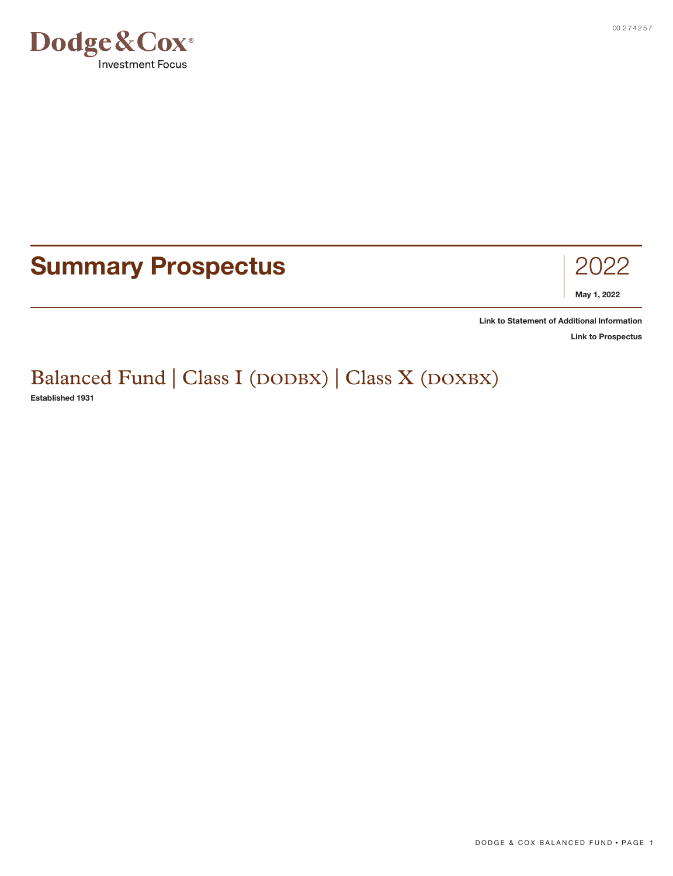

# **Summary Prospectus** 2022



**[Link to Statement of Additional Information](https://www.dodgeandcox.com/content/dam/dc/us/en/pdf/disclosures/dc_statement_of_additional_information.pdf)**

**[Link to Prospectus](https://www.dodgeandcox.com/content/dam/dc/us/en/pdf/prospectuses/dc_statutory_prospectus.pdf)**

# Balanced Fund | Class I (DODBX) | Class X (DOXBX)

**Established 1931**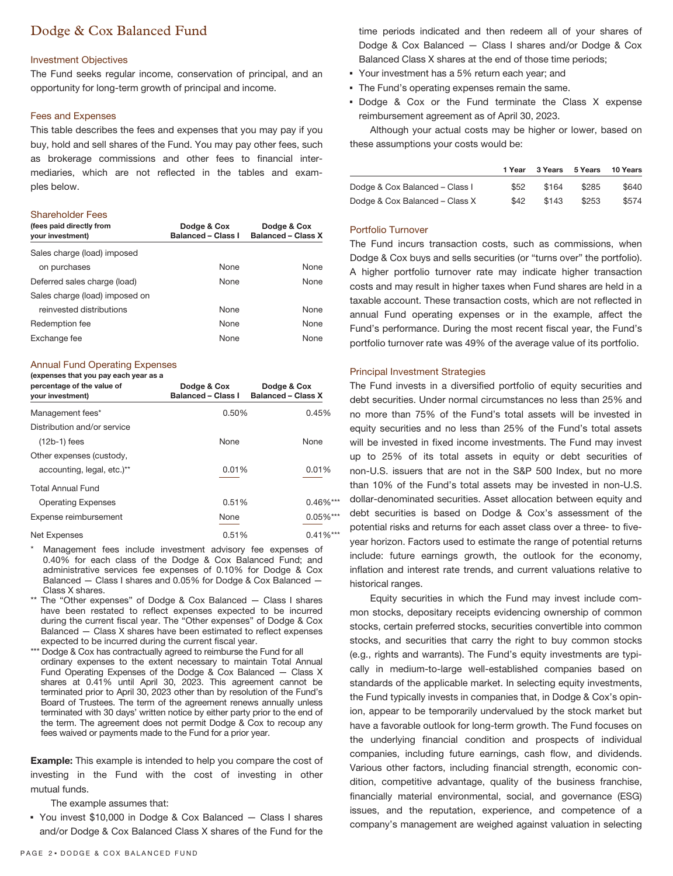### Dodge & Cox Balanced Fund

#### Investment Objectives

The Fund seeks regular income, conservation of principal, and an opportunity for long-term growth of principal and income.

#### Fees and Expenses

This table describes the fees and expenses that you may pay if you buy, hold and sell shares of the Fund. You may pay other fees, such as brokerage commissions and other fees to financial intermediaries, which are not reflected in the tables and examples below.

#### Shareholder Fees

| (fees paid directly from<br>your investment) | Dodge & Cox<br>Balanced - Class I | Dodge & Cox<br><b>Balanced - Class X</b> |
|----------------------------------------------|-----------------------------------|------------------------------------------|
| Sales charge (load) imposed                  |                                   |                                          |
| on purchases                                 | <b>None</b>                       | None                                     |
| Deferred sales charge (load)                 | None                              | None                                     |
| Sales charge (load) imposed on               |                                   |                                          |
| reinvested distributions                     | <b>None</b>                       | None                                     |
| Redemption fee                               | None                              | None                                     |
| Exchange fee                                 | None                              | <b>None</b>                              |

#### Annual Fund Operating Expenses

#### **(expenses that you pay each year as a**

| percentage of the value of<br>your investment) | Dodge & Cox<br><b>Balanced - Class I</b> | Dodge & Cox<br><b>Balanced - Class X</b> |
|------------------------------------------------|------------------------------------------|------------------------------------------|
| Management fees*                               | 0.50%                                    | 0.45%                                    |
| Distribution and/or service                    |                                          |                                          |
| $(12b-1)$ fees                                 | None                                     | None                                     |
| Other expenses (custody,                       |                                          |                                          |
| accounting, legal, etc.)**                     | 0.01%                                    | 0.01%                                    |
| <b>Total Annual Fund</b>                       |                                          |                                          |
| <b>Operating Expenses</b>                      | 0.51%                                    | $0.46\%***$                              |
| Expense reimbursement                          | None                                     | $0.05\%***$                              |
| Net Expenses                                   | 0.51%                                    | $0.41\%***$                              |

- Management fees include investment advisory fee expenses of 0.40% for each class of the Dodge & Cox Balanced Fund; and administrative services fee expenses of 0.10% for Dodge & Cox Balanced — Class I shares and 0.05% for Dodge & Cox Balanced — Class X shares.
- \*\* The "Other expenses" of Dodge & Cox Balanced Class I shares have been restated to reflect expenses expected to be incurred during the current fiscal year. The "Other expenses" of Dodge & Cox Balanced — Class X shares have been estimated to reflect expenses expected to be incurred during the current fiscal year.
- \*\*\* Dodge & Cox has contractually agreed to reimburse the Fund for all ordinary expenses to the extent necessary to maintain Total Annual Fund Operating Expenses of the Dodge & Cox Balanced — Class X shares at 0.41% until April 30, 2023. This agreement cannot be terminated prior to April 30, 2023 other than by resolution of the Fund's Board of Trustees. The term of the agreement renews annually unless terminated with 30 days' written notice by either party prior to the end of the term. The agreement does not permit Dodge & Cox to recoup any fees waived or payments made to the Fund for a prior year.

**Example:** This example is intended to help you compare the cost of investing in the Fund with the cost of investing in other mutual funds.

The example assumes that:

▪ You invest \$10,000 in Dodge & Cox Balanced — Class I shares and/or Dodge & Cox Balanced Class X shares of the Fund for the

time periods indicated and then redeem all of your shares of Dodge & Cox Balanced — Class I shares and/or Dodge & Cox Balanced Class X shares at the end of those time periods;

- Your investment has a 5% return each year; and
- **The Fund's operating expenses remain the same.**
- Dodge & Cox or the Fund terminate the Class X expense reimbursement agreement as of April 30, 2023.

Although your actual costs may be higher or lower, based on these assumptions your costs would be:

|                                | 1 Year | 3 Years | 5 Years | 10 Years |
|--------------------------------|--------|---------|---------|----------|
| Dodge & Cox Balanced - Class I | \$52   | \$164   | \$285   | \$640    |
| Dodge & Cox Balanced - Class X | \$42   | \$143   | \$253   | \$574    |

#### Portfolio Turnover

The Fund incurs transaction costs, such as commissions, when Dodge & Cox buys and sells securities (or "turns over" the portfolio). A higher portfolio turnover rate may indicate higher transaction costs and may result in higher taxes when Fund shares are held in a taxable account. These transaction costs, which are not reflected in annual Fund operating expenses or in the example, affect the Fund's performance. During the most recent fiscal year, the Fund's portfolio turnover rate was 49% of the average value of its portfolio.

#### Principal Investment Strategies

The Fund invests in a diversified portfolio of equity securities and debt securities. Under normal circumstances no less than 25% and no more than 75% of the Fund's total assets will be invested in equity securities and no less than 25% of the Fund's total assets will be invested in fixed income investments. The Fund may invest up to 25% of its total assets in equity or debt securities of non-U.S. issuers that are not in the S&P 500 Index, but no more than 10% of the Fund's total assets may be invested in non-U.S. dollar-denominated securities. Asset allocation between equity and debt securities is based on Dodge & Cox's assessment of the potential risks and returns for each asset class over a three- to fiveyear horizon. Factors used to estimate the range of potential returns include: future earnings growth, the outlook for the economy, inflation and interest rate trends, and current valuations relative to historical ranges.

Equity securities in which the Fund may invest include common stocks, depositary receipts evidencing ownership of common stocks, certain preferred stocks, securities convertible into common stocks, and securities that carry the right to buy common stocks (e.g., rights and warrants). The Fund's equity investments are typically in medium-to-large well-established companies based on standards of the applicable market. In selecting equity investments, the Fund typically invests in companies that, in Dodge & Cox's opinion, appear to be temporarily undervalued by the stock market but have a favorable outlook for long-term growth. The Fund focuses on the underlying financial condition and prospects of individual companies, including future earnings, cash flow, and dividends. Various other factors, including financial strength, economic condition, competitive advantage, quality of the business franchise, financially material environmental, social, and governance (ESG) issues, and the reputation, experience, and competence of a company's management are weighed against valuation in selecting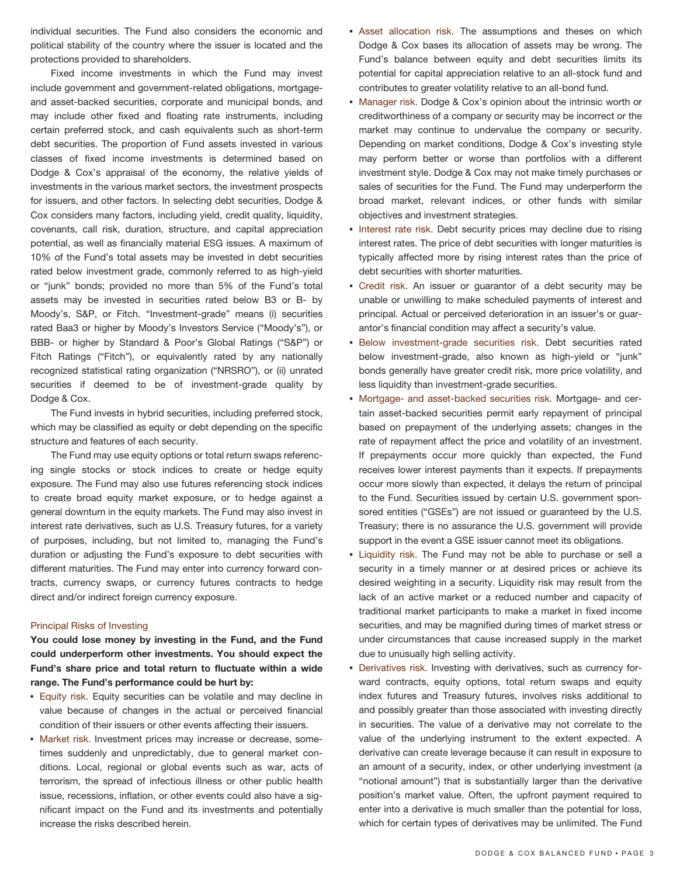individual securities. The Fund also considers the economic and political stability of the country where the issuer is located and the protections provided to shareholders.

Fixed income investments in which the Fund may invest include government and government-related obligations, mortgageand asset-backed securities, corporate and municipal bonds, and may include other fixed and floating rate instruments, including certain preferred stock, and cash equivalents such as short-term debt securities. The proportion of Fund assets invested in various classes of fixed income investments is determined based on Dodge & Cox's appraisal of the economy, the relative yields of investments in the various market sectors, the investment prospects for issuers, and other factors. In selecting debt securities, Dodge & Cox considers many factors, including yield, credit quality, liquidity, covenants, call risk, duration, structure, and capital appreciation potential, as well as financially material ESG issues. A maximum of 10% of the Fund's total assets may be invested in debt securities rated below investment grade, commonly referred to as high-yield or "junk" bonds; provided no more than 5% of the Fund's total assets may be invested in securities rated below B3 or B- by Moody's, S&P, or Fitch. "Investment-grade" means (i) securities rated Baa3 or higher by Moody's Investors Service ("Moody's"), or BBB- or higher by Standard & Poor's Global Ratings ("S&P") or Fitch Ratings ("Fitch"), or equivalently rated by any nationally recognized statistical rating organization ("NRSRO"), or (ii) unrated securities if deemed to be of investment-grade quality by Dodge & Cox.

The Fund invests in hybrid securities, including preferred stock, which may be classified as equity or debt depending on the specific structure and features of each security.

The Fund may use equity options or total return swaps referencing single stocks or stock indices to create or hedge equity exposure. The Fund may also use futures referencing stock indices to create broad equity market exposure, or to hedge against a general downturn in the equity markets. The Fund may also invest in interest rate derivatives, such as U.S. Treasury futures, for a variety of purposes, including, but not limited to, managing the Fund's duration or adjusting the Fund's exposure to debt securities with different maturities. The Fund may enter into currency forward contracts, currency swaps, or currency futures contracts to hedge direct and/or indirect foreign currency exposure.

#### Principal Risks of Investing

**You could lose money by investing in the Fund, and the Fund could underperform other investments. You should expect the Fund's share price and total return to fluctuate within a wide range. The Fund's performance could be hurt by:**

- **Equity risk. Equity securities can be volatile and may decline in** value because of changes in the actual or perceived financial condition of their issuers or other events affecting their issuers.
- **Market risk. Investment prices may increase or decrease, some**times suddenly and unpredictably, due to general market conditions. Local, regional or global events such as war, acts of terrorism, the spread of infectious illness or other public health issue, recessions, inflation, or other events could also have a significant impact on the Fund and its investments and potentially increase the risks described herein.
- **EXECT ASSET Allocation risk.** The assumptions and theses on which Dodge & Cox bases its allocation of assets may be wrong. The Fund's balance between equity and debt securities limits its potential for capital appreciation relative to an all-stock fund and contributes to greater volatility relative to an all-bond fund.
- **Manager risk. Dodge & Cox's opinion about the intrinsic worth or** creditworthiness of a company or security may be incorrect or the market may continue to undervalue the company or security. Depending on market conditions, Dodge & Cox's investing style may perform better or worse than portfolios with a different investment style. Dodge & Cox may not make timely purchases or sales of securities for the Fund. The Fund may underperform the broad market, relevant indices, or other funds with similar objectives and investment strategies.
- **.** Interest rate risk. Debt security prices may decline due to rising interest rates. The price of debt securities with longer maturities is typically affected more by rising interest rates than the price of debt securities with shorter maturities.
- Credit risk. An issuer or guarantor of a debt security may be unable or unwilling to make scheduled payments of interest and principal. Actual or perceived deterioration in an issuer's or guarantor's financial condition may affect a security's value.
- **Below investment-grade securities risk. Debt securities rated** below investment-grade, also known as high-yield or "junk" bonds generally have greater credit risk, more price volatility, and less liquidity than investment-grade securities.
- Mortgage- and asset-backed securities risk. Mortgage- and certain asset-backed securities permit early repayment of principal based on prepayment of the underlying assets; changes in the rate of repayment affect the price and volatility of an investment. If prepayments occur more quickly than expected, the Fund receives lower interest payments than it expects. If prepayments occur more slowly than expected, it delays the return of principal to the Fund. Securities issued by certain U.S. government sponsored entities ("GSEs") are not issued or guaranteed by the U.S. Treasury; there is no assurance the U.S. government will provide support in the event a GSE issuer cannot meet its obligations.
- **Example 1** Liquidity risk. The Fund may not be able to purchase or sell a security in a timely manner or at desired prices or achieve its desired weighting in a security. Liquidity risk may result from the lack of an active market or a reduced number and capacity of traditional market participants to make a market in fixed income securities, and may be magnified during times of market stress or under circumstances that cause increased supply in the market due to unusually high selling activity.
- **Derivatives risk.** Investing with derivatives, such as currency forward contracts, equity options, total return swaps and equity index futures and Treasury futures, involves risks additional to and possibly greater than those associated with investing directly in securities. The value of a derivative may not correlate to the value of the underlying instrument to the extent expected. A derivative can create leverage because it can result in exposure to an amount of a security, index, or other underlying investment (a "notional amount") that is substantially larger than the derivative position's market value. Often, the upfront payment required to enter into a derivative is much smaller than the potential for loss, which for certain types of derivatives may be unlimited. The Fund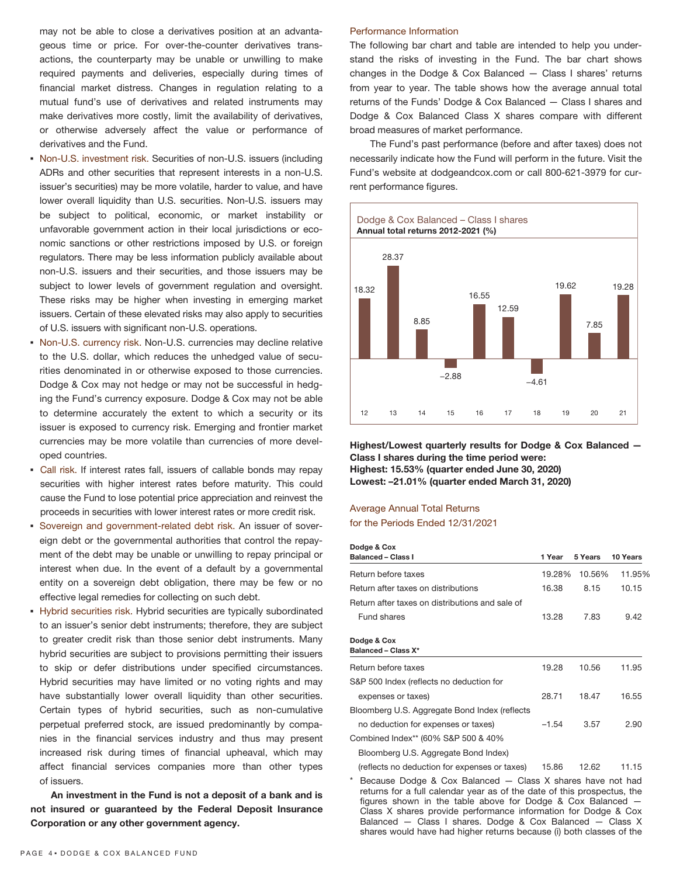may not be able to close a derivatives position at an advantageous time or price. For over-the-counter derivatives transactions, the counterparty may be unable or unwilling to make required payments and deliveries, especially during times of financial market distress. Changes in regulation relating to a mutual fund's use of derivatives and related instruments may make derivatives more costly, limit the availability of derivatives, or otherwise adversely affect the value or performance of derivatives and the Fund.

- Non-U.S. investment risk. Securities of non-U.S. issuers (including ADRs and other securities that represent interests in a non-U.S. issuer's securities) may be more volatile, harder to value, and have lower overall liquidity than U.S. securities. Non-U.S. issuers may be subject to political, economic, or market instability or unfavorable government action in their local jurisdictions or economic sanctions or other restrictions imposed by U.S. or foreign regulators. There may be less information publicly available about non-U.S. issuers and their securities, and those issuers may be subject to lower levels of government regulation and oversight. These risks may be higher when investing in emerging market issuers. Certain of these elevated risks may also apply to securities of U.S. issuers with significant non-U.S. operations.
- Non-U.S. currency risk. Non-U.S. currencies may decline relative to the U.S. dollar, which reduces the unhedged value of securities denominated in or otherwise exposed to those currencies. Dodge & Cox may not hedge or may not be successful in hedging the Fund's currency exposure. Dodge & Cox may not be able to determine accurately the extent to which a security or its issuer is exposed to currency risk. Emerging and frontier market currencies may be more volatile than currencies of more developed countries.
- Call risk. If interest rates fall, issuers of callable bonds may repay securities with higher interest rates before maturity. This could cause the Fund to lose potential price appreciation and reinvest the proceeds in securities with lower interest rates or more credit risk.
- Sovereign and government-related debt risk. An issuer of sovereign debt or the governmental authorities that control the repayment of the debt may be unable or unwilling to repay principal or interest when due. In the event of a default by a governmental entity on a sovereign debt obligation, there may be few or no effective legal remedies for collecting on such debt.
- **EX Hybrid securities risk. Hybrid securities are typically subordinated** to an issuer's senior debt instruments; therefore, they are subject to greater credit risk than those senior debt instruments. Many hybrid securities are subject to provisions permitting their issuers to skip or defer distributions under specified circumstances. Hybrid securities may have limited or no voting rights and may have substantially lower overall liquidity than other securities. Certain types of hybrid securities, such as non-cumulative perpetual preferred stock, are issued predominantly by companies in the financial services industry and thus may present increased risk during times of financial upheaval, which may affect financial services companies more than other types of issuers.

**An investment in the Fund is not a deposit of a bank and is not insured or guaranteed by the Federal Deposit Insurance Corporation or any other government agency.**

#### Performance Information

The following bar chart and table are intended to help you understand the risks of investing in the Fund. The bar chart shows changes in the Dodge & Cox Balanced — Class I shares' returns from year to year. The table shows how the average annual total returns of the Funds' Dodge & Cox Balanced — Class I shares and Dodge & Cox Balanced Class X shares compare with different broad measures of market performance.

The Fund's past performance (before and after taxes) does not necessarily indicate how the Fund will perform in the future. Visit the Fund's website at dodgeandcox.com or call 800-621-3979 for current performance figures.



**Highest/Lowest quarterly results for Dodge & Cox Balanced — Class I shares during the time period were: Highest: 15.53% (quarter ended June 30, 2020) Lowest: –21.01% (quarter ended March 31, 2020)**

## Average Annual Total Returns

for the Periods Ended 12/31/2021

| Dodge & Cox                                     |         |         |          |
|-------------------------------------------------|---------|---------|----------|
| <b>Balanced - Class I</b>                       | 1 Year  | 5 Years | 10 Years |
| Return before taxes                             | 19.28%  | 10.56%  | 11.95%   |
| <b>Return after taxes on distributions</b>      | 16.38   | 8.15    | 10.15    |
| Return after taxes on distributions and sale of |         |         |          |
| Fund shares                                     | 13.28   | 7.83    | 9.42     |
| Dodge & Cox<br><b>Balanced - Class X*</b>       |         |         |          |
| Return before taxes                             | 19.28   | 10.56   | 11.95    |
| S&P 500 Index (reflects no deduction for        |         |         |          |
| expenses or taxes)                              | 28.71   | 18.47   | 16.55    |
| Bloomberg U.S. Aggregate Bond Index (reflects   |         |         |          |
| no deduction for expenses or taxes)             | $-1.54$ | 3.57    | 2.90     |
| Combined Index** (60% S&P 500 & 40%)            |         |         |          |
| Bloomberg U.S. Aggregate Bond Index)            |         |         |          |
| (reflects no deduction for expenses or taxes)   | 15.86   | 12.62   | 11.15    |

Because Dodge & Cox Balanced — Class X shares have not had returns for a full calendar year as of the date of this prospectus, the figures shown in the table above for Dodge & Cox Balanced — Class X shares provide performance information for Dodge & Cox Balanced — Class I shares. Dodge & Cox Balanced — Class X shares would have had higher returns because (i) both classes of the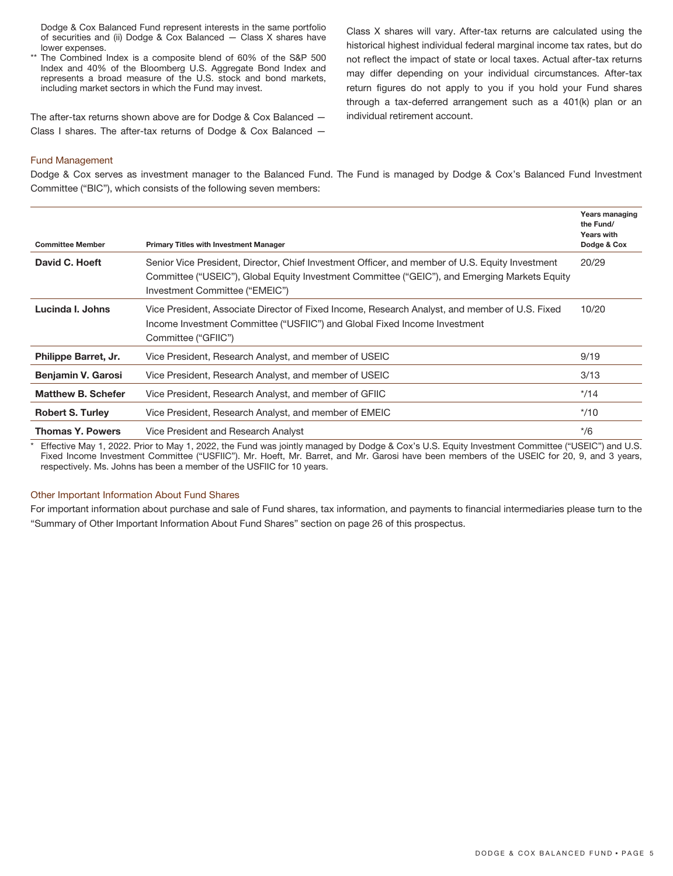Dodge & Cox Balanced Fund represent interests in the same portfolio of securities and (ii) Dodge & Cox Balanced — Class X shares have lower expenses.

\*\* The Combined Index is a composite blend of 60% of the S&P 500 Index and 40% of the Bloomberg U.S. Aggregate Bond Index and represents a broad measure of the U.S. stock and bond markets, including market sectors in which the Fund may invest.

The after-tax returns shown above are for Dodge & Cox Balanced — Class I shares. The after-tax returns of Dodge & Cox Balanced —

Class X shares will vary. After-tax returns are calculated using the historical highest individual federal marginal income tax rates, but do not reflect the impact of state or local taxes. Actual after-tax returns may differ depending on your individual circumstances. After-tax return figures do not apply to you if you hold your Fund shares through a tax-deferred arrangement such as a 401(k) plan or an individual retirement account.

#### Fund Management

Dodge & Cox serves as investment manager to the Balanced Fund. The Fund is managed by Dodge & Cox's Balanced Fund Investment Committee ("BIC"), which consists of the following seven members:

| <b>Committee Member</b>   | <b>Primary Titles with Investment Manager</b>                                                                                                                                                                                      | Years managing<br>the Fund/<br><b>Years with</b><br>Dodge & Cox |
|---------------------------|------------------------------------------------------------------------------------------------------------------------------------------------------------------------------------------------------------------------------------|-----------------------------------------------------------------|
| David C. Hoeft            | Senior Vice President, Director, Chief Investment Officer, and member of U.S. Equity Investment<br>Committee ("USEIC"), Global Equity Investment Committee ("GEIC"), and Emerging Markets Equity<br>Investment Committee ("EMEIC") | 20/29                                                           |
| Lucinda I. Johns          | Vice President, Associate Director of Fixed Income, Research Analyst, and member of U.S. Fixed<br>Income Investment Committee ("USFIIC") and Global Fixed Income Investment<br>Committee ("GFIIC")                                 | 10/20                                                           |
| Philippe Barret, Jr.      | Vice President, Research Analyst, and member of USEIC                                                                                                                                                                              | 9/19                                                            |
| <b>Benjamin V. Garosi</b> | Vice President, Research Analyst, and member of USEIC                                                                                                                                                                              | 3/13                                                            |
| <b>Matthew B. Schefer</b> | Vice President, Research Analyst, and member of GFIIC                                                                                                                                                                              | $*$ /14                                                         |
| <b>Robert S. Turley</b>   | Vice President, Research Analyst, and member of EMEIC                                                                                                                                                                              | $*$ /10                                                         |
| <b>Thomas Y. Powers</b>   | Vice President and Research Analyst                                                                                                                                                                                                | $*$ /6                                                          |

Effective May 1, 2022. Prior to May 1, 2022, the Fund was jointly managed by Dodge & Cox's U.S. Equity Investment Committee ("USEIC") and U.S. Fixed Income Investment Committee ("USFIIC"). Mr. Hoeft, Mr. Barret, and Mr. Garosi have been members of the USEIC for 20, 9, and 3 years, respectively. Ms. Johns has been a member of the USFIIC for 10 years.

#### Other Important Information About Fund Shares

For important information about purchase and sale of Fund shares, tax information, and payments to financial intermediaries please turn to the "Summary of Other Important Information About Fund Shares" section on page 26 of this prospectus.